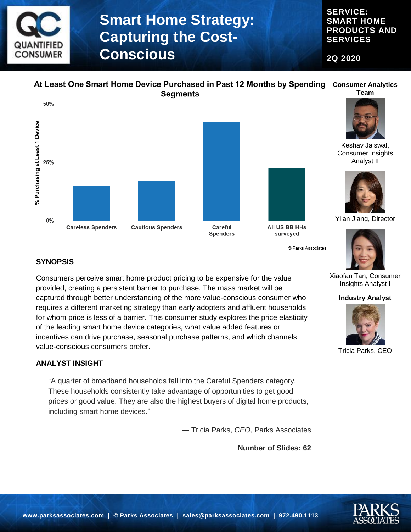

**SERVICE: SMART HOME PRODUCTS AND SERVICES**

**2Q 2020**

#### At Least One Smart Home Device Purchased in Past 12 Months by Spending Consumer Analytics **Team Segments**





All US BB HHs surveyed

© Parks Associates



Keshav Jaiswal, Consumer Insights Analyst II



Yilan Jiang, Director



### **SYNOPSIS**

Consumers perceive smart home product pricing to be expensive for the value provided, creating a persistent barrier to purchase. The mass market will be captured through better understanding of the more value-conscious consumer who requires a different marketing strategy than early adopters and affluent households for whom price is less of a barrier. This consumer study explores the price elasticity of the leading smart home device categories, what value added features or incentives can drive purchase, seasonal purchase patterns, and which channels value-conscious consumers prefer.

#### **ANALYST INSIGHT**

"A quarter of broadband households fall into the Careful Spenders category. These households consistently take advantage of opportunities to get good prices or good value. They are also the highest buyers of digital home products, including smart home devices."

― Tricia Parks, *CEO,* Parks Associates

**Number of Slides: 62**



#### **Industry Analyst**



Tricia Parks, CEO

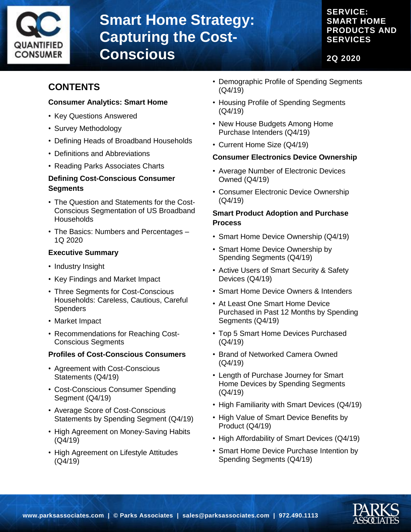

### **SERVICE: SMART HOME PRODUCTS AND SERVICES**

**2Q 2020**

### **CONTENTS**

#### **Consumer Analytics: Smart Home**

- Key Questions Answered
- Survey Methodology
- Defining Heads of Broadband Households
- Definitions and Abbreviations
- Reading Parks Associates Charts

#### **Defining Cost-Conscious Consumer Segments**

- The Question and Statements for the Cost-Conscious Segmentation of US Broadband **Households**
- The Basics: Numbers and Percentages 1Q 2020

#### **Executive Summary**

- Industry Insight
- Key Findings and Market Impact
- Three Segments for Cost-Conscious Households: Careless, Cautious, Careful **Spenders**
- Market Impact
- Recommendations for Reaching Cost-Conscious Segments

#### **Profiles of Cost-Conscious Consumers**

- Agreement with Cost-Conscious Statements (Q4/19)
- Cost-Conscious Consumer Spending Segment (Q4/19)
- Average Score of Cost-Conscious Statements by Spending Segment (Q4/19)
- High Agreement on Money-Saving Habits (Q4/19)
- High Agreement on Lifestyle Attitudes (Q4/19)
- Demographic Profile of Spending Segments (Q4/19)
- Housing Profile of Spending Segments (Q4/19)
- New House Budgets Among Home Purchase Intenders (Q4/19)
- Current Home Size (Q4/19)

#### **Consumer Electronics Device Ownership**

- Average Number of Electronic Devices Owned (Q4/19)
- Consumer Electronic Device Ownership (Q4/19)

#### **Smart Product Adoption and Purchase Process**

- Smart Home Device Ownership (Q4/19)
- Smart Home Device Ownership by Spending Segments (Q4/19)
- Active Users of Smart Security & Safety Devices (Q4/19)
- Smart Home Device Owners & Intenders
- At Least One Smart Home Device Purchased in Past 12 Months by Spending Segments (Q4/19)
- Top 5 Smart Home Devices Purchased (Q4/19)
- Brand of Networked Camera Owned (Q4/19)
- Length of Purchase Journey for Smart Home Devices by Spending Segments (Q4/19)
- High Familiarity with Smart Devices (Q4/19)
- High Value of Smart Device Benefits by Product (Q4/19)
- High Affordability of Smart Devices (Q4/19)
- Smart Home Device Purchase Intention by Spending Segments (Q4/19)

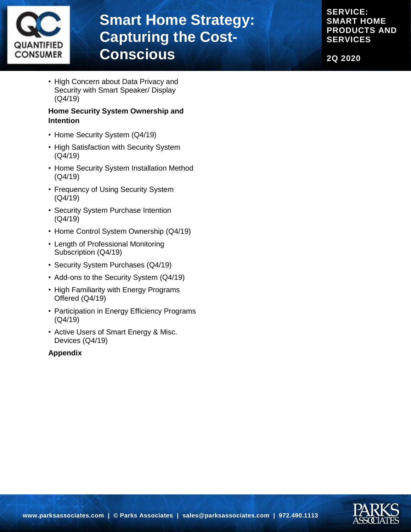

**SERVICE: SMART HOME PRODUCTS AND SERVICES**

**2Q 2020**

• High Concern about Data Privacy and Security with Smart Speaker/ Display (Q4/19)

#### **Home Security System Ownership and Intention**

- Home Security System (Q4/19)
- High Satisfaction with Security System (Q4/19)
- Home Security System Installation Method (Q4/19)
- Frequency of Using Security System (Q4/19)
- Security System Purchase Intention (Q4/19)
- Home Control System Ownership (Q4/19)
- Length of Professional Monitoring Subscription (Q4/19)
- Security System Purchases (Q4/19)
- Add-ons to the Security System (Q4/19)
- High Familiarity with Energy Programs Offered (Q4/19)
- Participation in Energy Efficiency Programs (Q4/19)
- Active Users of Smart Energy & Misc. Devices (Q4/19)

#### **Appendix**